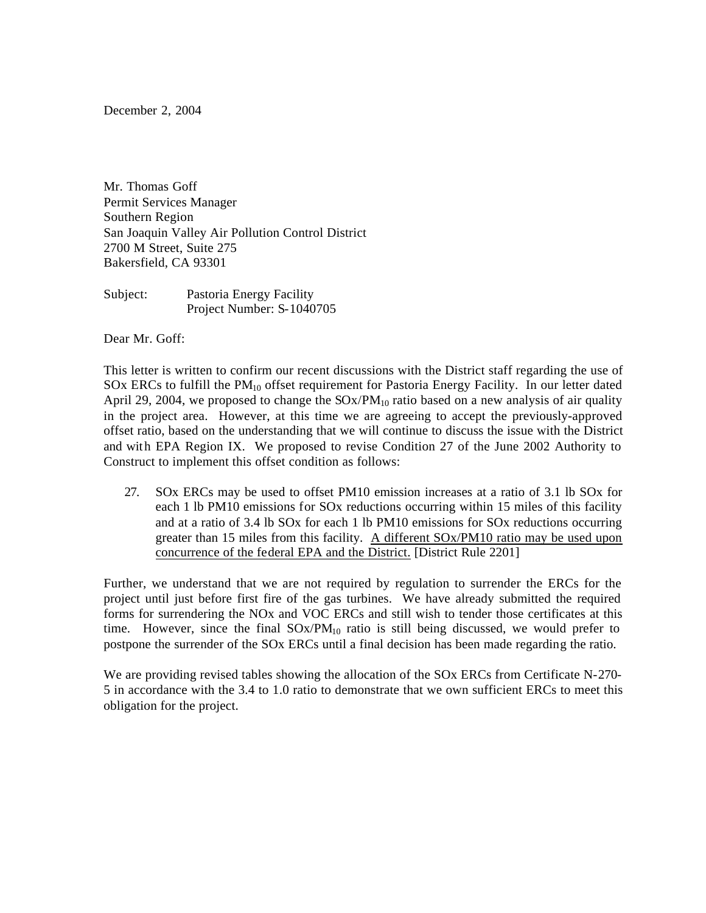December 2, 2004

Mr. Thomas Goff Permit Services Manager Southern Region San Joaquin Valley Air Pollution Control District 2700 M Street, Suite 275 Bakersfield, CA 93301

Subject: Pastoria Energy Facility Project Number: S-1040705

Dear Mr. Goff:

This letter is written to confirm our recent discussions with the District staff regarding the use of SOx ERCs to fulfill the  $PM_{10}$  offset requirement for Pastoria Energy Facility. In our letter dated April 29, 2004, we proposed to change the  $SOX/PM_{10}$  ratio based on a new analysis of air quality in the project area. However, at this time we are agreeing to accept the previously-approved offset ratio, based on the understanding that we will continue to discuss the issue with the District and with EPA Region IX. We proposed to revise Condition 27 of the June 2002 Authority to Construct to implement this offset condition as follows:

27. SOx ERCs may be used to offset PM10 emission increases at a ratio of 3.1 lb SOx for each 1 lb PM10 emissions for SOx reductions occurring within 15 miles of this facility and at a ratio of 3.4 lb SOx for each 1 lb PM10 emissions for SOx reductions occurring greater than 15 miles from this facility. A different SOx/PM10 ratio may be used upon concurrence of the federal EPA and the District. [District Rule 2201]

Further, we understand that we are not required by regulation to surrender the ERCs for the project until just before first fire of the gas turbines. We have already submitted the required forms for surrendering the NOx and VOC ERCs and still wish to tender those certificates at this time. However, since the final  $SOx/PM_{10}$  ratio is still being discussed, we would prefer to postpone the surrender of the SOx ERCs until a final decision has been made regarding the ratio.

We are providing revised tables showing the allocation of the SOx ERCs from Certificate N-270- 5 in accordance with the 3.4 to 1.0 ratio to demonstrate that we own sufficient ERCs to meet this obligation for the project.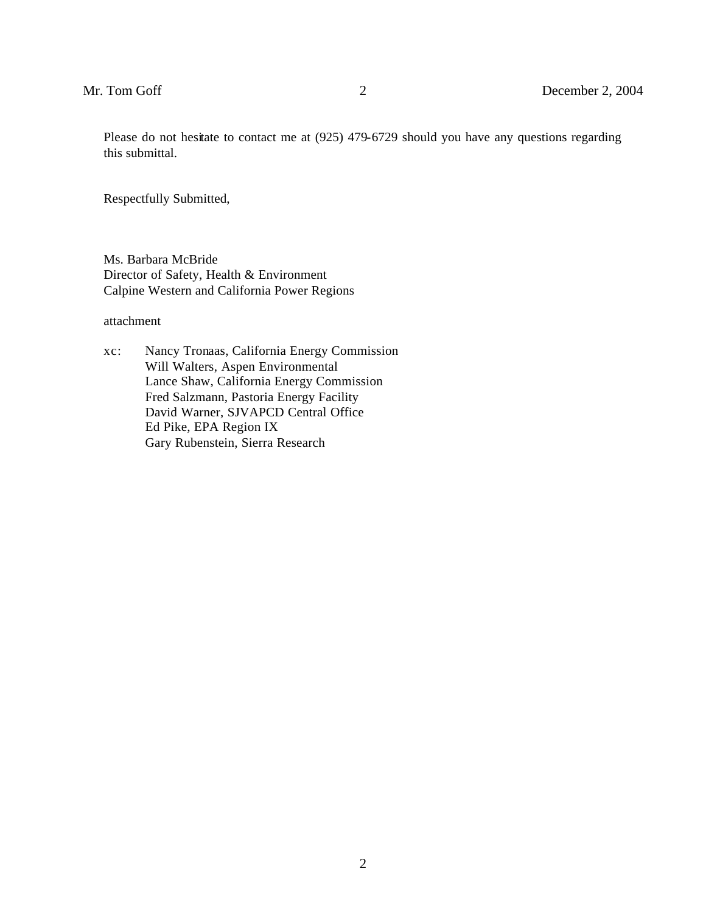Please do not hesitate to contact me at (925) 479-6729 should you have any questions regarding this submittal.

Respectfully Submitted,

Ms. Barbara McBride Director of Safety, Health & Environment Calpine Western and California Power Regions

attachment

xc: Nancy Tronaas, California Energy Commission Will Walters, Aspen Environmental Lance Shaw, California Energy Commission Fred Salzmann, Pastoria Energy Facility David Warner, SJVAPCD Central Office Ed Pike, EPA Region IX Gary Rubenstein, Sierra Research

2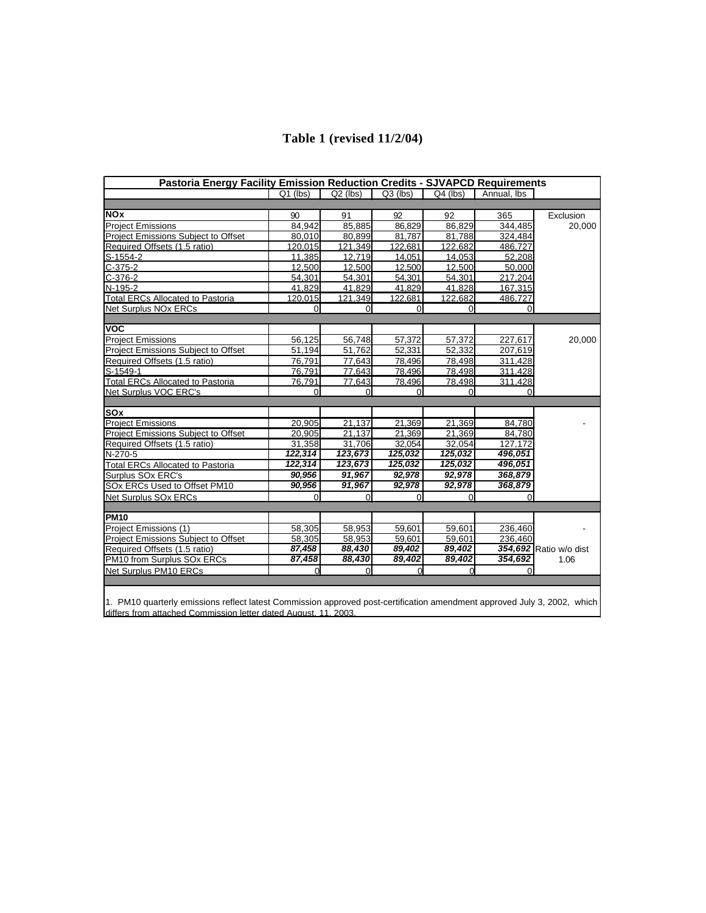|  |  | Table 1 (revised 11/2/04) |
|--|--|---------------------------|
|--|--|---------------------------|

| <b>Pastoria Energy Facility Emission Reduction Credits - SJVAPCD Requirements</b> |                |            |            |            |             |                        |  |  |  |
|-----------------------------------------------------------------------------------|----------------|------------|------------|------------|-------------|------------------------|--|--|--|
|                                                                                   | $Q1$ (lbs)     | $Q2$ (lbs) | $Q3$ (lbs) | $Q4$ (lbs) | Annual, Ibs |                        |  |  |  |
|                                                                                   |                |            |            |            |             |                        |  |  |  |
| <b>NOx</b>                                                                        | 90             | 91         | 92         | 92         | 365         | Exclusion              |  |  |  |
| <b>Project Emissions</b>                                                          | 84,942         | 85,885     | 86,829     | 86,829     | 344,485     | 20,000                 |  |  |  |
| Project Emissions Subject to Offset                                               | 80,010         | 80,899     | 81,787     | 81,788     | 324,484     |                        |  |  |  |
| Required Offsets (1.5 ratio)                                                      | 120,015        | 121,349    | 122,681    | 122,682    | 486,727     |                        |  |  |  |
| $S-1554-2$                                                                        | 11.385         | 12.719     | 14,051     | 14,053     | 52,208      |                        |  |  |  |
| $C-375-2$                                                                         | 12,500         | 12,500     | 12,500     | 12,500     | 50,000      |                        |  |  |  |
| $C-376-2$                                                                         | 54,301         | 54,301     | 54,301     | 54,301     | 217.204     |                        |  |  |  |
| N-195-2                                                                           | 41.829         | 41,829     | 41,829     | 41,828     | 167,315     |                        |  |  |  |
| <b>Total ERCs Allocated to Pastoria</b>                                           | 120,015        | 121,349    | 122,681    | 122,682    | 486,727     |                        |  |  |  |
| Net Surplus NOx ERCs                                                              | $\Omega$       | $\Omega$   | $\Omega$   | $\Omega$   | $\Omega$    |                        |  |  |  |
|                                                                                   |                |            |            |            |             |                        |  |  |  |
| <b>VOC</b>                                                                        |                |            |            |            |             |                        |  |  |  |
| <b>Project Emissions</b>                                                          | 56,125         | 56,748     | 57,372     | 57,372     | 227,617     | 20,000                 |  |  |  |
| <b>Project Emissions Subject to Offset</b>                                        | 51,194         | 51,762     | 52,331     | 52,332     | 207,619     |                        |  |  |  |
| Required Offsets (1.5 ratio)                                                      | 76,791         | 77,643     | 78,496     | 78,498     | 311,428     |                        |  |  |  |
| S-1549-1                                                                          | 76,791         | 77,643     | 78,496     | 78,498     | 311,428     |                        |  |  |  |
| <b>Total ERCs Allocated to Pastoria</b>                                           | 76,791         | 77,643     | 78,496     | 78,498     | 311.428     |                        |  |  |  |
| Net Surplus VOC ERC's                                                             |                | 0          |            | 0          |             |                        |  |  |  |
|                                                                                   |                |            |            |            |             |                        |  |  |  |
| <b>SOx</b>                                                                        |                |            |            |            |             |                        |  |  |  |
| <b>Project Emissions</b>                                                          | 20,905         | 21,137     | 21,369     | 21,369     | 84,780      |                        |  |  |  |
| <b>Project Emissions Subject to Offset</b>                                        | 20,905         | 21,137     | 21,369     | 21,369     | 84,780      |                        |  |  |  |
| Required Offsets (1.5 ratio)                                                      | 31,358         | 31,706     | 32,054     | 32,054     | 127.172     |                        |  |  |  |
| N-270-5                                                                           | 122,314        | 123,673    | 125,032    | 125,032    | 496,051     |                        |  |  |  |
| <b>Total ERCs Allocated to Pastoria</b>                                           | 122,314        | 123,673    | 125,032    | 125,032    | 496,051     |                        |  |  |  |
| Surplus SOx ERC's                                                                 | 90,956         | 91,967     | 92,978     | 92,978     | 368,879     |                        |  |  |  |
| SOx ERCs Used to Offset PM10                                                      | 90,956         | 91,967     | 92,978     | 92,978     | 368,879     |                        |  |  |  |
| Net Surplus SOx ERCs                                                              | $\overline{0}$ | $\Omega$   | $\Omega$   | $\Omega$   | 0           |                        |  |  |  |
|                                                                                   |                |            |            |            |             |                        |  |  |  |
| <b>PM10</b>                                                                       |                |            |            |            |             |                        |  |  |  |
| Project Emissions (1)                                                             | 58,305         | 58,953     | 59,601     | 59,601     | 236,460     |                        |  |  |  |
| Project Emissions Subject to Offset                                               | 58,305         | 58,953     | 59,601     | 59,601     | 236.460     |                        |  |  |  |
| Required Offsets (1.5 ratio)                                                      | 87,458         | 88,430     | 89,402     | 89,402     |             | 354,692 Ratio w/o dist |  |  |  |
| PM10 from Surplus SOx ERCs                                                        | 87,458         | 88,430     | 89,402     | 89,402     | 354,692     | 1.06                   |  |  |  |
| Net Surplus PM10 ERCs                                                             | 0              | $\Omega$   | $\Omega$   | $\Omega$   | 0           |                        |  |  |  |

1. PM10 quarterly emissions reflect latest Commission approved post-certification amendment approved July 3, 2002, which differs from attached Commission letter dated August, 11, 2003.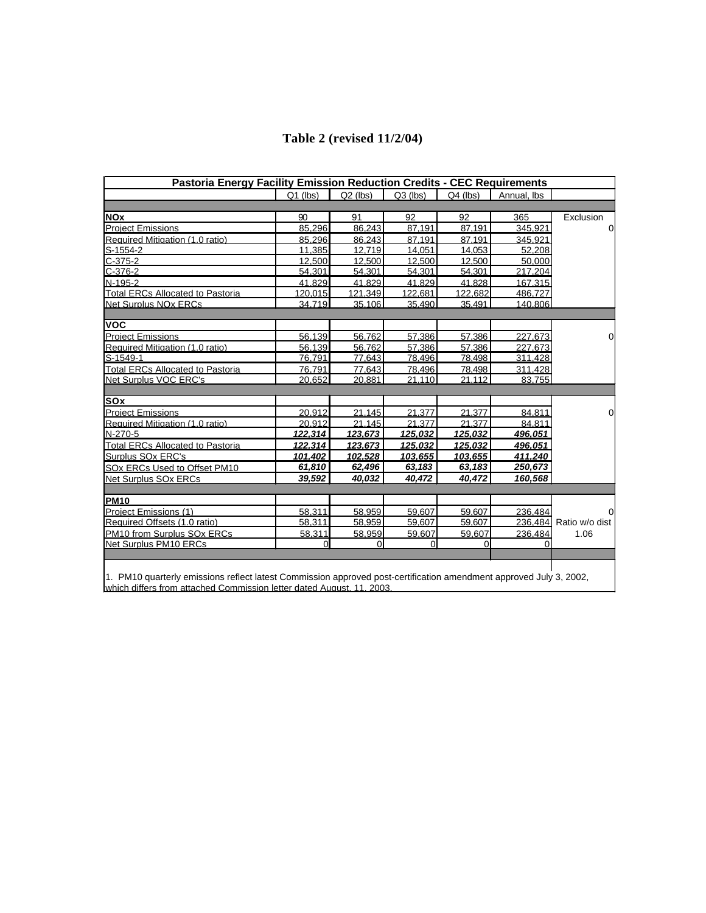| Pastoria Energy Facility Emission Reduction Credits - CEC Requirements |            |            |              |            |             |                        |  |  |  |  |  |
|------------------------------------------------------------------------|------------|------------|--------------|------------|-------------|------------------------|--|--|--|--|--|
|                                                                        | $Q1$ (lbs) | $Q2$ (lbs) | $Q3$ (lbs)   | $Q4$ (lbs) | Annual, Ibs |                        |  |  |  |  |  |
|                                                                        |            |            |              |            |             |                        |  |  |  |  |  |
| <b>NOx</b>                                                             | 90         | 91         | 92           | 92         | 365         | Exclusion              |  |  |  |  |  |
| <b>Project Emissions</b>                                               | 85.296     | 86.243     | 87.191       | 87.191     | 345.921     | $\Omega$               |  |  |  |  |  |
| Required Mitigation (1.0 ratio)                                        | 85.296     | 86.243     | 87.191       | 87.191     | 345.921     |                        |  |  |  |  |  |
| $S-1554-2$                                                             | 11,385     | 12,719     | 14,051       | 14,053     | 52,208      |                        |  |  |  |  |  |
| $C-375-2$                                                              | 12.500     | 12.500     | 12.500       | 12.500     | 50.000      |                        |  |  |  |  |  |
| $C-376-2$                                                              | 54,301     | 54,301     | 54,301       | 54,301     | 217,204     |                        |  |  |  |  |  |
| N-195-2                                                                | 41.829     | 41.829     | 41.829       | 41.828     | 167.315     |                        |  |  |  |  |  |
| <b>Total ERCs Allocated to Pastoria</b>                                | 120,015    | 121,349    | 122,681      | 122,682    | 486,727     |                        |  |  |  |  |  |
| Net Surplus NOx ERCs                                                   | 34.719     | 35.106     | 35.490       | 35.491     | 140.806     |                        |  |  |  |  |  |
|                                                                        |            |            |              |            |             |                        |  |  |  |  |  |
| <b>VOC</b>                                                             |            |            |              |            |             |                        |  |  |  |  |  |
| <b>Project Emissions</b>                                               | 56,139     | 56,762     | 57,386       | 57,386     | 227,673     | $\Omega$               |  |  |  |  |  |
| Required Mitigation (1.0 ratio)                                        | 56.139     | 56.762     | 57.386       | 57.386     | 227.673     |                        |  |  |  |  |  |
| S-1549-1                                                               | 76,791     | 77,643     | 78,496       | 78,498     | 311,428     |                        |  |  |  |  |  |
| <b>Total ERCs Allocated to Pastoria</b>                                | 76,791     | 77,643     | 78,496       | 78,498     | 311,428     |                        |  |  |  |  |  |
| Net Surplus VOC ERC's                                                  | 20,652     | 20.881     | 21.110       | 21,112     | 83.755      |                        |  |  |  |  |  |
|                                                                        |            |            |              |            |             |                        |  |  |  |  |  |
| <b>SOx</b>                                                             |            |            |              |            |             |                        |  |  |  |  |  |
| <b>Project Emissions</b>                                               | 20,912     | 21,145     | 21,377       | 21,377     | 84,811      | $\Omega$               |  |  |  |  |  |
| Required Mitigation (1.0 ratio)                                        | 20.912     | 21.145     | 21.377       | 21.377     | 84.811      |                        |  |  |  |  |  |
| N-270-5                                                                | 122,314    | 123,673    | 125,032      | 125,032    | 496,051     |                        |  |  |  |  |  |
| <b>Total ERCs Allocated to Pastoria</b>                                | 122,314    | 123,673    | 125,032      | 125,032    | 496,051     |                        |  |  |  |  |  |
| Surplus SOx ERC's                                                      | 101,402    | 102.528    | 103.655      | 103.655    | 411.240     |                        |  |  |  |  |  |
| SOx ERCs Used to Offset PM10                                           | 61,810     | 62,496     | 63,183       | 63,183     | 250,673     |                        |  |  |  |  |  |
| Net Surplus SOx ERCs                                                   | 39,592     | 40,032     | 40,472       | 40,472     | 160,568     |                        |  |  |  |  |  |
|                                                                        |            |            |              |            |             |                        |  |  |  |  |  |
| <b>PM10</b>                                                            |            |            |              |            |             |                        |  |  |  |  |  |
| Project Emissions (1)                                                  | 58.311     | 58.959     | 59.607       | 59.607     | 236.484     | $\Omega$               |  |  |  |  |  |
| Required Offsets (1.0 ratio)                                           | 58.311     | 58.959     | 59,607       | 59,607     |             | 236,484 Ratio w/o dist |  |  |  |  |  |
| <b>PM10 from Surplus SOx ERCs</b>                                      | 58,311     | 58,959     | 59,607       | 59,607     | 236,484     | 1.06                   |  |  |  |  |  |
| Net Surplus PM10 ERCs                                                  | $\Omega$   | $\Omega$   | $\mathbf{0}$ | $\Omega$   | 0           |                        |  |  |  |  |  |
|                                                                        |            |            |              |            |             |                        |  |  |  |  |  |
|                                                                        |            |            |              |            |             |                        |  |  |  |  |  |
|                                                                        |            |            |              |            |             |                        |  |  |  |  |  |

1. PM10 quarterly emissions reflect latest Commission approved post-certification amendment approved July 3, 2002, which differs from attached Commission letter dated August, 11, 2003.